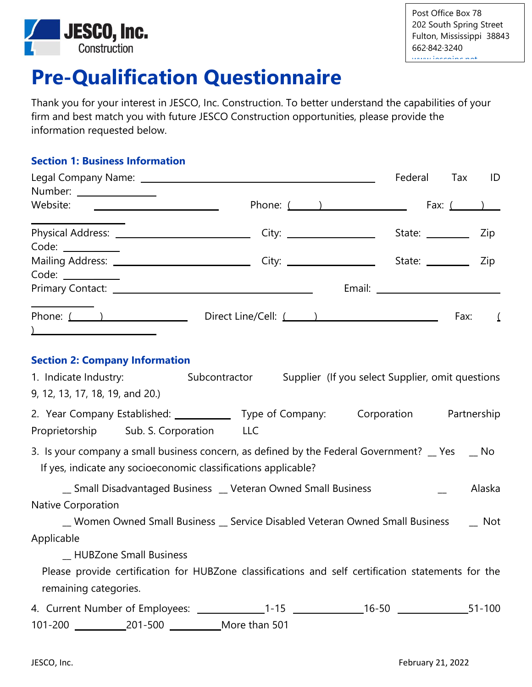

# **Pre-Qualification Questionnaire**

Thank you for your interest in JESCO, Inc. Construction. To better understand the capabilities of your firm and best match you with future JESCO Construction opportunities, please provide the information requested below.

### **Section 1: Business Information**

|                                                                                                                                                                   |                                                                              | Federal | Tax                           | ID                           |
|-------------------------------------------------------------------------------------------------------------------------------------------------------------------|------------------------------------------------------------------------------|---------|-------------------------------|------------------------------|
| Number: 1999                                                                                                                                                      |                                                                              |         |                               |                              |
| Website:                                                                                                                                                          | Phone: $($ $)$ Fax: $($ $)$                                                  |         |                               |                              |
|                                                                                                                                                                   |                                                                              |         | State: <u>___________</u> Zip |                              |
| $Code: \_\_\_\_\_\_\_\_\_\_\_$                                                                                                                                    |                                                                              |         |                               |                              |
| Mailing Address: _____________________________                                                                                                                    |                                                                              |         | State: <u>___________</u> Zip |                              |
|                                                                                                                                                                   |                                                                              |         |                               |                              |
| Phone: $($ $)$                                                                                                                                                    | Direct Line/Cell: $($                                                        |         | Fax:                          | $\sqrt{ }$                   |
| ) and the contract of the contract of $\mathcal{L}$                                                                                                               |                                                                              |         |                               |                              |
| <b>Section 2: Company Information</b>                                                                                                                             |                                                                              |         |                               |                              |
| 1. Indicate Industry: Subcontractor Supplier (If you select Supplier, omit questions                                                                              |                                                                              |         |                               |                              |
| 9, 12, 13, 17, 18, 19, and 20.)                                                                                                                                   |                                                                              |         |                               |                              |
| 2. Year Company Established: _____________ Type of Company: Corporation Partnership                                                                               |                                                                              |         |                               |                              |
| Proprietorship Sub. S. Corporation LLC                                                                                                                            |                                                                              |         |                               |                              |
| 3. Is your company a small business concern, as defined by the Federal Government? _ Yes _ _ No<br>If yes, indicate any socioeconomic classifications applicable? |                                                                              |         |                               |                              |
|                                                                                                                                                                   | Small Disadvantaged Business Lander Veteran Owned Small Business             |         |                               | Alaska                       |
| <b>Native Corporation</b>                                                                                                                                         |                                                                              |         |                               |                              |
|                                                                                                                                                                   | _ Women Owned Small Business _ Service Disabled Veteran Owned Small Business |         |                               | $\overline{\phantom{a}}$ Not |
| Applicable                                                                                                                                                        |                                                                              |         |                               |                              |
| <b>HUBZone Small Business</b>                                                                                                                                     |                                                                              |         |                               |                              |
| Please provide certification for HUBZone classifications and self certification statements for the                                                                |                                                                              |         |                               |                              |
| remaining categories.                                                                                                                                             |                                                                              |         |                               |                              |
|                                                                                                                                                                   |                                                                              |         |                               |                              |
|                                                                                                                                                                   |                                                                              |         |                               |                              |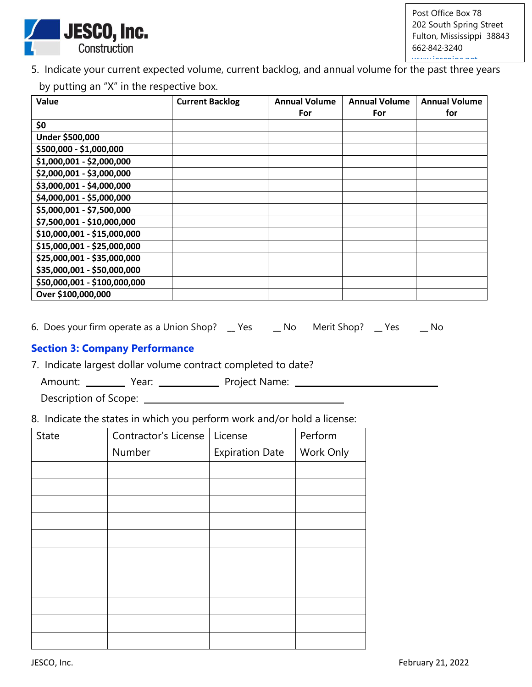

5. Indicate your current expected volume, current backlog, and annual volume for the past three years by putting an "X" in the respective box.

| Value                        | <b>Current Backlog</b> | <b>Annual Volume</b><br>For | <b>Annual Volume</b><br>For | <b>Annual Volume</b><br>for |
|------------------------------|------------------------|-----------------------------|-----------------------------|-----------------------------|
| \$0                          |                        |                             |                             |                             |
| Under \$500,000              |                        |                             |                             |                             |
| \$500,000 - \$1,000,000      |                        |                             |                             |                             |
| \$1,000,001 - \$2,000,000    |                        |                             |                             |                             |
| \$2,000,001 - \$3,000,000    |                        |                             |                             |                             |
| \$3,000,001 - \$4,000,000    |                        |                             |                             |                             |
| \$4,000,001 - \$5,000,000    |                        |                             |                             |                             |
| \$5,000,001 - \$7,500,000    |                        |                             |                             |                             |
| \$7,500,001 - \$10,000,000   |                        |                             |                             |                             |
| \$10,000,001 - \$15,000,000  |                        |                             |                             |                             |
| \$15,000,001 - \$25,000,000  |                        |                             |                             |                             |
| \$25,000,001 - \$35,000,000  |                        |                             |                             |                             |
| \$35,000,001 - \$50,000,000  |                        |                             |                             |                             |
| \$50,000,001 - \$100,000,000 |                        |                             |                             |                             |
| Over \$100,000,000           |                        |                             |                             |                             |

6. Does your firm operate as a Union Shop? \_\_ Yes \_\_\_ No Merit Shop? \_\_ Yes \_\_\_ No

### **Section 3: Company Performance**

7. Indicate largest dollar volume contract completed to date?

Amount: Vear: Vear: Project Name: Vear: Vear: Project Name:

Description of Scope:

8. Indicate the states in which you perform work and/or hold a license:

| State | Contractor's License | License                | Perform   |
|-------|----------------------|------------------------|-----------|
|       | Number               | <b>Expiration Date</b> | Work Only |
|       |                      |                        |           |
|       |                      |                        |           |
|       |                      |                        |           |
|       |                      |                        |           |
|       |                      |                        |           |
|       |                      |                        |           |
|       |                      |                        |           |
|       |                      |                        |           |
|       |                      |                        |           |
|       |                      |                        |           |
|       |                      |                        |           |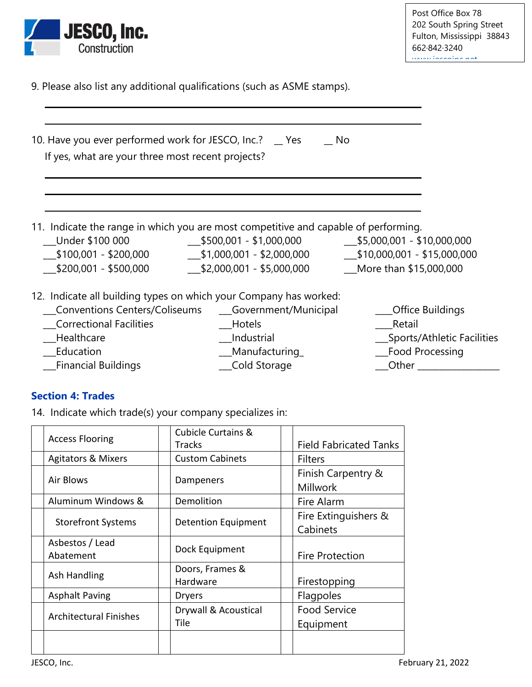

9. Please also list any additional qualifications (such as ASME stamps).

 $\mathcal{L}_\mathcal{L} = \mathcal{L}_\mathcal{L} = \mathcal{L}_\mathcal{L} = \mathcal{L}_\mathcal{L} = \mathcal{L}_\mathcal{L} = \mathcal{L}_\mathcal{L} = \mathcal{L}_\mathcal{L} = \mathcal{L}_\mathcal{L} = \mathcal{L}_\mathcal{L} = \mathcal{L}_\mathcal{L} = \mathcal{L}_\mathcal{L} = \mathcal{L}_\mathcal{L} = \mathcal{L}_\mathcal{L} = \mathcal{L}_\mathcal{L} = \mathcal{L}_\mathcal{L} = \mathcal{L}_\mathcal{L} = \mathcal{L}_\mathcal{L}$ 

| 10. Have you ever performed work for JESCO, Inc.? _ Yes<br>If yes, what are your three most recent projects? | No.                                                                                                                                                                    |                                                                                           |
|--------------------------------------------------------------------------------------------------------------|------------------------------------------------------------------------------------------------------------------------------------------------------------------------|-------------------------------------------------------------------------------------------|
| Under \$100 000                                                                                              | 11. Indicate the range in which you are most competitive and capable of performing.<br>$$500,001 - $1,000,000$                                                         | $$5,000,001 - $10,000,000$                                                                |
| $$100,001 - $200,000$<br>\$200,001 - \$500,000                                                               | $$1,000,001 - $2,000,000$<br>\$2,000,001 - \$5,000,000                                                                                                                 | $$10,000,001 - $15,000,000$<br>More than \$15,000,000                                     |
| <b>Correctional Facilities</b><br>Healthcare<br>Education                                                    | 12. Indicate all building types on which your Company has worked:<br>Conventions Centers/Coliseums ____Government/Municipal<br>Hotels<br>__Industrial<br>Manufacturing | <b>Office Buildings</b><br>Retail<br>Sports/Athletic Facilities<br><b>Food Processing</b> |

\_\_\_Financial Buildings \_\_\_Cold Storage \_\_\_Other \_\_\_\_\_\_\_\_\_\_\_\_\_\_\_\_\_\_\_

### **Section 4: Trades**

14. Indicate which trade(s) your company specializes in:

|                               | <b>Cubicle Curtains &amp;</b> |                                       |
|-------------------------------|-------------------------------|---------------------------------------|
| <b>Access Flooring</b>        | Tracks                        | <b>Field Fabricated Tanks</b>         |
| <b>Agitators &amp; Mixers</b> | <b>Custom Cabinets</b>        | <b>Filters</b>                        |
| Air Blows                     | Dampeners                     | Finish Carpentry &<br><b>Millwork</b> |
| Aluminum Windows &            | Demolition                    | Fire Alarm                            |
| <b>Storefront Systems</b>     | <b>Detention Equipment</b>    | Fire Extinguishers &<br>Cabinets      |
| Asbestos / Lead<br>Abatement  | Dock Equipment                | <b>Fire Protection</b>                |
| Ash Handling                  | Doors, Frames &<br>Hardware   | Firestopping                          |
| <b>Asphalt Paving</b>         | <b>Dryers</b>                 | Flagpoles                             |
| <b>Architectural Finishes</b> | Drywall & Acoustical<br>Tile  | <b>Food Service</b><br>Equipment      |
|                               |                               |                                       |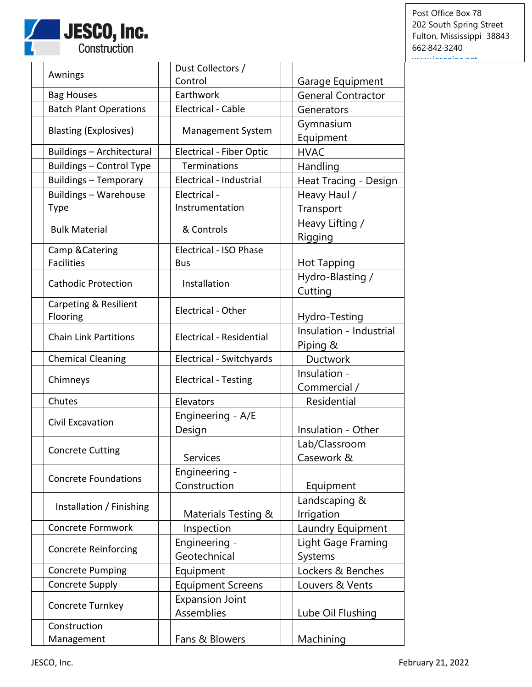

Post Office Box 78 202 South Spring Street Fulton, Mississippi 38843 662·842·3240 [www.jescoinc.net](http://www.jescoinc.net/)

|                                  | Dust Collectors /               |                           |
|----------------------------------|---------------------------------|---------------------------|
| Awnings                          | Control                         | Garage Equipment          |
| <b>Bag Houses</b>                | Earthwork                       | <b>General Contractor</b> |
| <b>Batch Plant Operations</b>    | <b>Electrical - Cable</b>       | Generators                |
|                                  |                                 | Gymnasium                 |
| <b>Blasting (Explosives)</b>     | <b>Management System</b>        | Equipment                 |
| <b>Buildings - Architectural</b> | <b>Electrical - Fiber Optic</b> | <b>HVAC</b>               |
| <b>Buildings - Control Type</b>  | <b>Terminations</b>             | Handling                  |
| <b>Buildings - Temporary</b>     | Electrical - Industrial         | Heat Tracing - Design     |
| Buildings - Warehouse            | Electrical -                    | Heavy Haul /              |
| Type                             | Instrumentation                 | Transport                 |
|                                  |                                 | Heavy Lifting /           |
| <b>Bulk Material</b>             | & Controls                      | Rigging                   |
| Camp & Catering                  | Electrical - ISO Phase          |                           |
| <b>Facilities</b>                | <b>Bus</b>                      | Hot Tapping               |
| <b>Cathodic Protection</b>       | Installation                    | Hydro-Blasting /          |
|                                  |                                 | Cutting                   |
| Carpeting & Resilient            | Electrical - Other              |                           |
| Flooring                         |                                 | Hydro-Testing             |
| <b>Chain Link Partitions</b>     | Electrical - Residential        | Insulation - Industrial   |
|                                  |                                 | Piping &                  |
| <b>Chemical Cleaning</b>         | Electrical - Switchyards        | <b>Ductwork</b>           |
| Chimneys                         | <b>Electrical - Testing</b>     | Insulation -              |
|                                  |                                 | Commercial /              |
| Chutes                           | Elevators                       | Residential               |
| Civil Excavation                 | Engineering - A/E               |                           |
|                                  | Design                          | Insulation - Other        |
| <b>Concrete Cutting</b>          |                                 | Lab/Classroom             |
|                                  | Services                        | Casework &                |
| <b>Concrete Foundations</b>      | Engineering -                   |                           |
|                                  | Construction                    | Equipment                 |
| Installation / Finishing         |                                 | Landscaping &             |
|                                  | Materials Testing &             | Irrigation                |
| Concrete Formwork                | Inspection                      | Laundry Equipment         |
| <b>Concrete Reinforcing</b>      | Engineering -                   | Light Gage Framing        |
|                                  | Geotechnical                    | Systems                   |
| <b>Concrete Pumping</b>          | Equipment                       | Lockers & Benches         |
| Concrete Supply                  | <b>Equipment Screens</b>        | Louvers & Vents           |
| Concrete Turnkey                 | <b>Expansion Joint</b>          |                           |
|                                  | Assemblies                      | Lube Oil Flushing         |
| Construction                     |                                 |                           |
| Management                       | Fans & Blowers                  | Machining                 |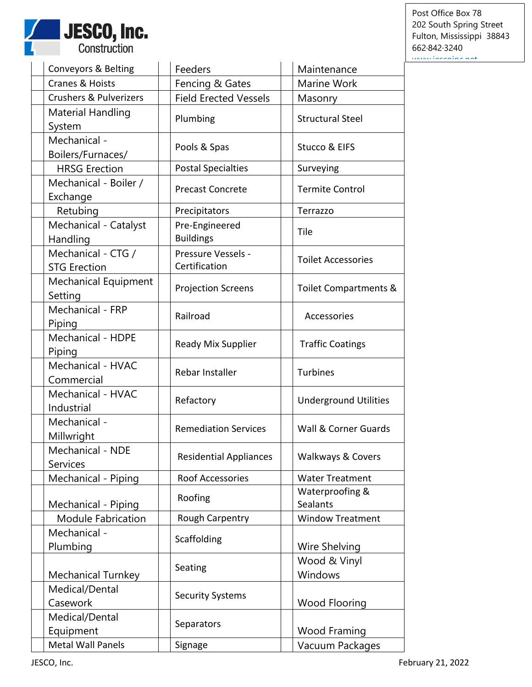

Post Office Box 78 202 South Spring Street Fulton, Mississippi 38843 662·842·3240 ww.jescoinc.net

| Conveyors & Belting                        | Feeders                             | Maintenance                  |
|--------------------------------------------|-------------------------------------|------------------------------|
| Cranes & Hoists                            | Fencing & Gates                     | Marine Work                  |
| <b>Crushers &amp; Pulverizers</b>          | <b>Field Erected Vessels</b>        | Masonry                      |
| <b>Material Handling</b><br>System         | Plumbing                            | <b>Structural Steel</b>      |
| Mechanical -<br>Boilers/Furnaces/          | Pools & Spas                        | Stucco & EIFS                |
| <b>HRSG Erection</b>                       | <b>Postal Specialties</b>           | Surveying                    |
| Mechanical - Boiler /<br>Exchange          | <b>Precast Concrete</b>             | <b>Termite Control</b>       |
| Retubing                                   | Precipitators                       | Terrazzo                     |
| Mechanical - Catalyst<br>Handling          | Pre-Engineered<br><b>Buildings</b>  | Tile                         |
| Mechanical - CTG /<br><b>STG Erection</b>  | Pressure Vessels -<br>Certification | <b>Toilet Accessories</b>    |
| Mechanical Equipment<br>Setting            | <b>Projection Screens</b>           | Toilet Compartments &        |
| Mechanical - FRP<br>Piping                 | Railroad                            | Accessories                  |
| Mechanical - HDPE<br>Piping                | Ready Mix Supplier                  | <b>Traffic Coatings</b>      |
| Mechanical - HVAC<br>Commercial            | Rebar Installer                     | <b>Turbines</b>              |
| Mechanical - HVAC<br>Industrial            | Refactory                           | <b>Underground Utilities</b> |
| Mechanical -<br>Millwright                 | <b>Remediation Services</b>         | Wall & Corner Guards         |
| <b>Mechanical - NDE</b><br><b>Services</b> | <b>Residential Appliances</b>       | <b>Walkways &amp; Covers</b> |
| Mechanical - Piping                        | <b>Roof Accessories</b>             | <b>Water Treatment</b>       |
| Mechanical - Piping                        | Roofing                             | Waterproofing &<br>Sealants  |
| <b>Module Fabrication</b>                  | Rough Carpentry                     | <b>Window Treatment</b>      |
| Mechanical -<br>Plumbing                   | Scaffolding                         | Wire Shelving                |
| <b>Mechanical Turnkey</b>                  | Seating                             | Wood & Vinyl<br>Windows      |
| Medical/Dental<br>Casework                 | <b>Security Systems</b>             | <b>Wood Flooring</b>         |
| Medical/Dental<br>Equipment                | Separators                          | <b>Wood Framing</b>          |
| <b>Metal Wall Panels</b>                   | Signage                             | Vacuum Packages              |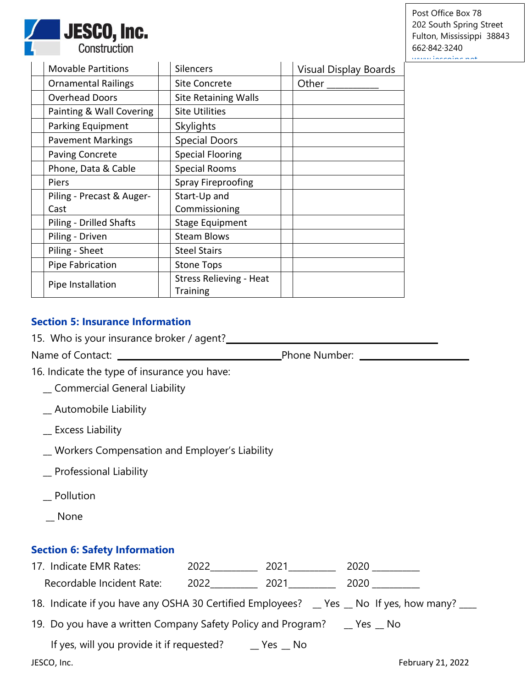

Post Office Box 78 202 South Spring Street Fulton, Mississippi 38843 662·842·3240 [www.jescoinc.net](http://www.jescoinc.net/)

| <b>Movable Partitions</b>      | <b>Silencers</b>               | <b>Visual Display Boards</b> |
|--------------------------------|--------------------------------|------------------------------|
| <b>Ornamental Railings</b>     | <b>Site Concrete</b>           | Other                        |
| <b>Overhead Doors</b>          | <b>Site Retaining Walls</b>    |                              |
| Painting & Wall Covering       | <b>Site Utilities</b>          |                              |
| <b>Parking Equipment</b>       | <b>Skylights</b>               |                              |
| <b>Pavement Markings</b>       | <b>Special Doors</b>           |                              |
| <b>Paving Concrete</b>         | <b>Special Flooring</b>        |                              |
| Phone, Data & Cable            | <b>Special Rooms</b>           |                              |
| Piers                          | <b>Spray Fireproofing</b>      |                              |
| Piling - Precast & Auger-      | Start-Up and                   |                              |
| Cast                           | Commissioning                  |                              |
| <b>Piling - Drilled Shafts</b> | <b>Stage Equipment</b>         |                              |
| Piling - Driven                | <b>Steam Blows</b>             |                              |
| Piling - Sheet                 | <b>Steel Stairs</b>            |                              |
| Pipe Fabrication               | <b>Stone Tops</b>              |                              |
| Pipe Installation              | <b>Stress Relieving - Heat</b> |                              |
|                                | <b>Training</b>                |                              |

## **Section 5: Insurance Information**

| 15. Who is your insurance broker / agent? |  |  |  |  |  |  |  |
|-------------------------------------------|--|--|--|--|--|--|--|
|-------------------------------------------|--|--|--|--|--|--|--|

Name of Contact: Phone Number:

16. Indicate the type of insurance you have:

- \_\_ Commercial General Liability
- \_\_ Automobile Liability
- \_\_ Excess Liability
- \_\_ Workers Compensation and Employer's Liability
- \_\_ Professional Liability
- \_\_ Pollution
- \_\_ None

### **Section 6: Safety Information**

| 17. Indicate EMR Rates:                                                                    | 2022 | 2021                       | 2020                               |
|--------------------------------------------------------------------------------------------|------|----------------------------|------------------------------------|
| Recordable Incident Rate:                                                                  | 2022 | 2021                       | 2020                               |
| 18. Indicate if you have any OSHA 30 Certified Employees? _ Yes _ No If yes, how many? ___ |      |                            |                                    |
| 19. Do you have a written Company Safety Policy and Program?                               |      |                            | $\mathsf{\_}$ Yes $\mathsf{\_}$ No |
| If yes, will you provide it if requested?                                                  |      | $\sqrt{}$ Yes $\sqrt{}$ No |                                    |
| JESCO, Inc.                                                                                |      |                            | February 21, 2022                  |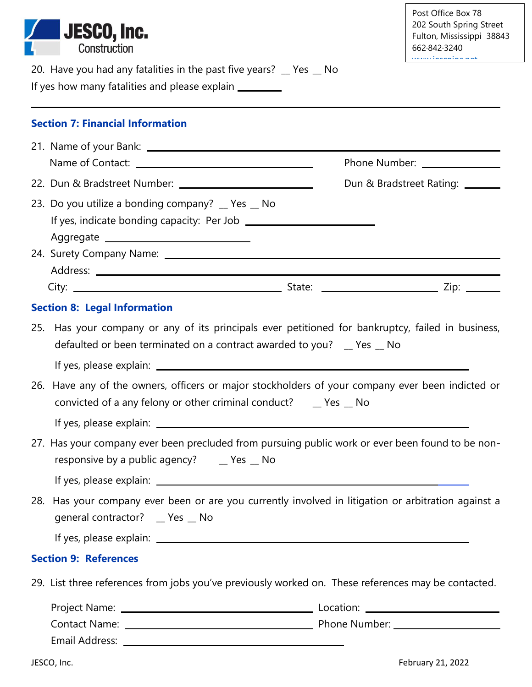|                                     | <b>JESCO, Inc.</b><br>Construction                                                                                                                                                                                                                                                   | Post Office Box 78<br>202 South Spring Street<br>Fulton, Mississippi 38843<br>662.842.3240<br>الممسامس ممالح ممارينا التساويات |
|-------------------------------------|--------------------------------------------------------------------------------------------------------------------------------------------------------------------------------------------------------------------------------------------------------------------------------------|--------------------------------------------------------------------------------------------------------------------------------|
|                                     | 20. Have you had any fatalities in the past five years? _ Yes _ No<br>If yes how many fatalities and please explain _________                                                                                                                                                        |                                                                                                                                |
|                                     | <b>Section 7: Financial Information</b>                                                                                                                                                                                                                                              |                                                                                                                                |
|                                     |                                                                                                                                                                                                                                                                                      |                                                                                                                                |
|                                     |                                                                                                                                                                                                                                                                                      | Phone Number: _______________                                                                                                  |
|                                     |                                                                                                                                                                                                                                                                                      | Dun & Bradstreet Rating: _______                                                                                               |
|                                     | 23. Do you utilize a bonding company? _ Yes _ No<br>Aggregate entirely and a series of the series of the series of the series of the series of the series of the s                                                                                                                   |                                                                                                                                |
|                                     |                                                                                                                                                                                                                                                                                      |                                                                                                                                |
| <b>Section 8: Legal Information</b> |                                                                                                                                                                                                                                                                                      |                                                                                                                                |
| 25.                                 | Has your company or any of its principals ever petitioned for bankruptcy, failed in business,<br>defaulted or been terminated on a contract awarded to you? $\Box$ Yes $\Box$ No<br>26. Have any of the owners, officers or major stockholders of your company ever been indicted or |                                                                                                                                |
|                                     | convicted of a any felony or other criminal conduct? ___ Yes __ No                                                                                                                                                                                                                   |                                                                                                                                |
|                                     |                                                                                                                                                                                                                                                                                      |                                                                                                                                |
|                                     | 27. Has your company ever been precluded from pursuing public work or ever been found to be non-<br>responsive by a public agency? _____ Yes ___ No                                                                                                                                  |                                                                                                                                |
|                                     |                                                                                                                                                                                                                                                                                      |                                                                                                                                |
|                                     | 28. Has your company ever been or are you currently involved in litigation or arbitration against a<br>general contractor? _ Yes _ No                                                                                                                                                |                                                                                                                                |
|                                     |                                                                                                                                                                                                                                                                                      |                                                                                                                                |
| <b>Section 9: References</b>        |                                                                                                                                                                                                                                                                                      |                                                                                                                                |
|                                     | 29. List three references from jobs you've previously worked on. These references may be contacted.                                                                                                                                                                                  |                                                                                                                                |
|                                     |                                                                                                                                                                                                                                                                                      |                                                                                                                                |
|                                     |                                                                                                                                                                                                                                                                                      |                                                                                                                                |
|                                     |                                                                                                                                                                                                                                                                                      |                                                                                                                                |